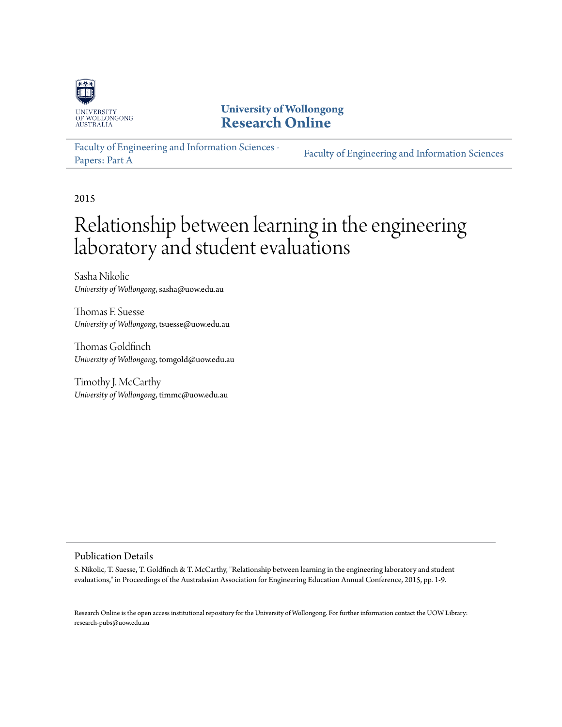

**University of Wollongong [Research Online](http://ro.uow.edu.au)**

[Faculty of Engineering and Information Sciences -](http://ro.uow.edu.au/eispapers) [Papers: Part A](http://ro.uow.edu.au/eispapers) [Faculty of Engineering and Information Sciences](http://ro.uow.edu.au/eis)

2015

# Relationship between learning in the engineering laboratory and student evaluations

Sasha Nikolic *University of Wollongong*, sasha@uow.edu.au

Thomas F. Suesse *University of Wollongong*, tsuesse@uow.edu.au

Thomas Goldfinch *University of Wollongong*, tomgold@uow.edu.au

Timothy J. McCarthy *University of Wollongong*, timmc@uow.edu.au

#### Publication Details

S. Nikolic, T. Suesse, T. Goldfinch & T. McCarthy, "Relationship between learning in the engineering laboratory and student evaluations," in Proceedings of the Australasian Association for Engineering Education Annual Conference, 2015, pp. 1-9.

Research Online is the open access institutional repository for the University of Wollongong. For further information contact the UOW Library: research-pubs@uow.edu.au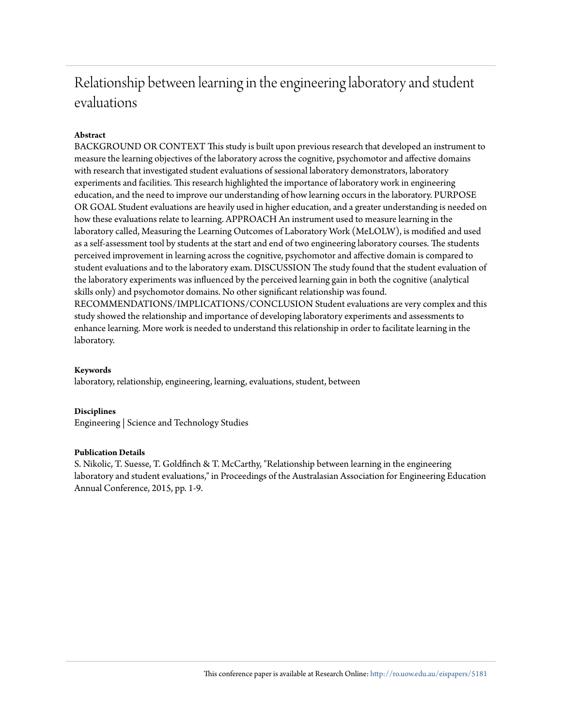## Relationship between learning in the engineering laboratory and student evaluations

#### **Abstract**

BACKGROUND OR CONTEXT This study is built upon previous research that developed an instrument to measure the learning objectives of the laboratory across the cognitive, psychomotor and affective domains with research that investigated student evaluations of sessional laboratory demonstrators, laboratory experiments and facilities. This research highlighted the importance of laboratory work in engineering education, and the need to improve our understanding of how learning occurs in the laboratory. PURPOSE OR GOAL Student evaluations are heavily used in higher education, and a greater understanding is needed on how these evaluations relate to learning. APPROACH An instrument used to measure learning in the laboratory called, Measuring the Learning Outcomes of Laboratory Work (MeLOLW), is modified and used as a self-assessment tool by students at the start and end of two engineering laboratory courses. The students perceived improvement in learning across the cognitive, psychomotor and affective domain is compared to student evaluations and to the laboratory exam. DISCUSSION The study found that the student evaluation of the laboratory experiments was influenced by the perceived learning gain in both the cognitive (analytical skills only) and psychomotor domains. No other significant relationship was found. RECOMMENDATIONS/IMPLICATIONS/CONCLUSION Student evaluations are very complex and this study showed the relationship and importance of developing laboratory experiments and assessments to enhance learning. More work is needed to understand this relationship in order to facilitate learning in the laboratory.

#### **Keywords**

laboratory, relationship, engineering, learning, evaluations, student, between

#### **Disciplines**

Engineering | Science and Technology Studies

#### **Publication Details**

S. Nikolic, T. Suesse, T. Goldfinch & T. McCarthy, "Relationship between learning in the engineering laboratory and student evaluations," in Proceedings of the Australasian Association for Engineering Education Annual Conference, 2015, pp. 1-9.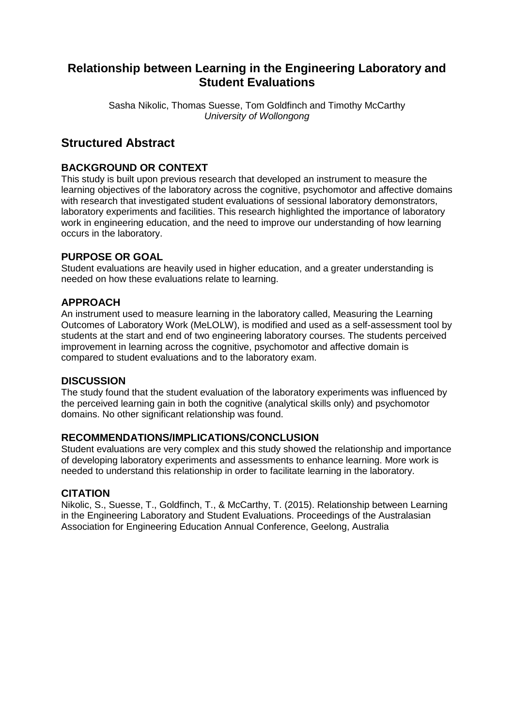## **Relationship between Learning in the Engineering Laboratory and Student Evaluations**

Sasha Nikolic, Thomas Suesse, Tom Goldfinch and Timothy McCarthy *University of Wollongong*

## **Structured Abstract**

#### **BACKGROUND OR CONTEXT**

This study is built upon previous research that developed an instrument to measure the learning objectives of the laboratory across the cognitive, psychomotor and affective domains with research that investigated student evaluations of sessional laboratory demonstrators, laboratory experiments and facilities. This research highlighted the importance of laboratory work in engineering education, and the need to improve our understanding of how learning occurs in the laboratory.

#### **PURPOSE OR GOAL**

Student evaluations are heavily used in higher education, and a greater understanding is needed on how these evaluations relate to learning.

#### **APPROACH**

An instrument used to measure learning in the laboratory called, Measuring the Learning Outcomes of Laboratory Work (MeLOLW), is modified and used as a self-assessment tool by students at the start and end of two engineering laboratory courses. The students perceived improvement in learning across the cognitive, psychomotor and affective domain is compared to student evaluations and to the laboratory exam.

#### **DISCUSSION**

The study found that the student evaluation of the laboratory experiments was influenced by the perceived learning gain in both the cognitive (analytical skills only) and psychomotor domains. No other significant relationship was found.

#### **RECOMMENDATIONS/IMPLICATIONS/CONCLUSION**

Student evaluations are very complex and this study showed the relationship and importance of developing laboratory experiments and assessments to enhance learning. More work is needed to understand this relationship in order to facilitate learning in the laboratory.

#### **CITATION**

Nikolic, S., Suesse, T., Goldfinch, T., & McCarthy, T. (2015). Relationship between Learning in the Engineering Laboratory and Student Evaluations. Proceedings of the Australasian Association for Engineering Education Annual Conference, Geelong, Australia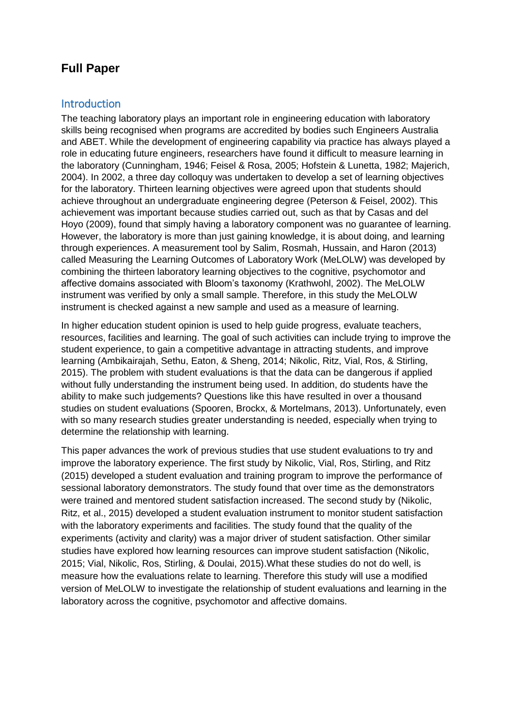## **Full Paper**

### Introduction

The teaching laboratory plays an important role in engineering education with laboratory skills being recognised when programs are accredited by bodies such Engineers Australia and ABET. While the development of engineering capability via practice has always played a role in educating future engineers, researchers have found it difficult to measure learning in the laboratory (Cunningham, 1946; Feisel & Rosa, 2005; Hofstein & Lunetta, 1982; Majerich, 2004). In 2002, a three day colloquy was undertaken to develop a set of learning objectives for the laboratory. Thirteen learning objectives were agreed upon that students should achieve throughout an undergraduate engineering degree (Peterson & Feisel, 2002). This achievement was important because studies carried out, such as that by Casas and del Hoyo (2009), found that simply having a laboratory component was no guarantee of learning. However, the laboratory is more than just gaining knowledge, it is about doing, and learning through experiences. A measurement tool by Salim, Rosmah, Hussain, and Haron (2013) called Measuring the Learning Outcomes of Laboratory Work (MeLOLW) was developed by combining the thirteen laboratory learning objectives to the cognitive, psychomotor and affective domains associated with Bloom's taxonomy (Krathwohl, 2002). The MeLOLW instrument was verified by only a small sample. Therefore, in this study the MeLOLW instrument is checked against a new sample and used as a measure of learning.

In higher education student opinion is used to help guide progress, evaluate teachers, resources, facilities and learning. The goal of such activities can include trying to improve the student experience, to gain a competitive advantage in attracting students, and improve learning (Ambikairajah, Sethu, Eaton, & Sheng, 2014; Nikolic, Ritz, Vial, Ros, & Stirling, 2015). The problem with student evaluations is that the data can be dangerous if applied without fully understanding the instrument being used. In addition, do students have the ability to make such judgements? Questions like this have resulted in over a thousand studies on student evaluations (Spooren, Brockx, & Mortelmans, 2013). Unfortunately, even with so many research studies greater understanding is needed, especially when trying to determine the relationship with learning.

This paper advances the work of previous studies that use student evaluations to try and improve the laboratory experience. The first study by Nikolic, Vial, Ros, Stirling, and Ritz (2015) developed a student evaluation and training program to improve the performance of sessional laboratory demonstrators. The study found that over time as the demonstrators were trained and mentored student satisfaction increased. The second study by (Nikolic, Ritz, et al., 2015) developed a student evaluation instrument to monitor student satisfaction with the laboratory experiments and facilities. The study found that the quality of the experiments (activity and clarity) was a major driver of student satisfaction. Other similar studies have explored how learning resources can improve student satisfaction (Nikolic, 2015; Vial, Nikolic, Ros, Stirling, & Doulai, 2015).What these studies do not do well, is measure how the evaluations relate to learning. Therefore this study will use a modified version of MeLOLW to investigate the relationship of student evaluations and learning in the laboratory across the cognitive, psychomotor and affective domains.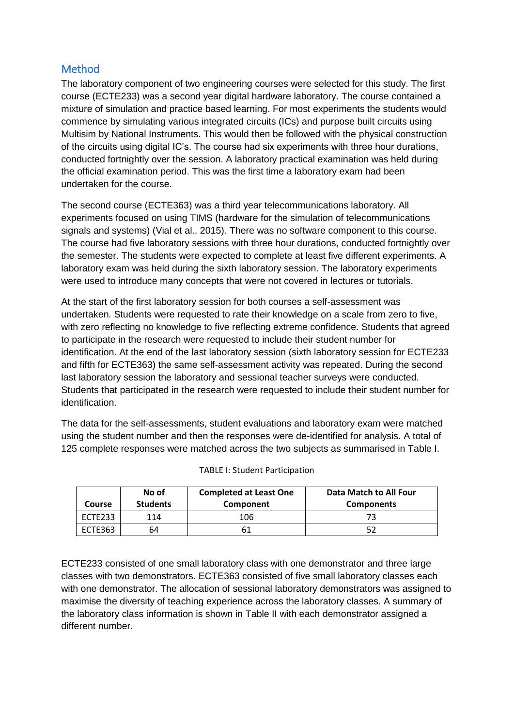### Method

The laboratory component of two engineering courses were selected for this study. The first course (ECTE233) was a second year digital hardware laboratory. The course contained a mixture of simulation and practice based learning. For most experiments the students would commence by simulating various integrated circuits (ICs) and purpose built circuits using Multisim by National Instruments. This would then be followed with the physical construction of the circuits using digital IC's. The course had six experiments with three hour durations, conducted fortnightly over the session. A laboratory practical examination was held during the official examination period. This was the first time a laboratory exam had been undertaken for the course.

The second course (ECTE363) was a third year telecommunications laboratory. All experiments focused on using TIMS (hardware for the simulation of telecommunications signals and systems) (Vial et al., 2015). There was no software component to this course. The course had five laboratory sessions with three hour durations, conducted fortnightly over the semester. The students were expected to complete at least five different experiments. A laboratory exam was held during the sixth laboratory session. The laboratory experiments were used to introduce many concepts that were not covered in lectures or tutorials.

At the start of the first laboratory session for both courses a self-assessment was undertaken. Students were requested to rate their knowledge on a scale from zero to five, with zero reflecting no knowledge to five reflecting extreme confidence. Students that agreed to participate in the research were requested to include their student number for identification. At the end of the last laboratory session (sixth laboratory session for ECTE233 and fifth for ECTE363) the same self-assessment activity was repeated. During the second last laboratory session the laboratory and sessional teacher surveys were conducted. Students that participated in the research were requested to include their student number for identification.

The data for the self-assessments, student evaluations and laboratory exam were matched using the student number and then the responses were de-identified for analysis. A total of 125 complete responses were matched across the two subjects as summarised in Table I.

| Course  | No of<br><b>Students</b> | <b>Completed at Least One</b><br>Component | Data Match to All Four<br><b>Components</b> |
|---------|--------------------------|--------------------------------------------|---------------------------------------------|
| ECTE233 | 114                      | 106                                        |                                             |
| ECTE363 | 64                       |                                            |                                             |

| <b>TABLE I: Student Participation</b> |  |
|---------------------------------------|--|
|---------------------------------------|--|

ECTE233 consisted of one small laboratory class with one demonstrator and three large classes with two demonstrators. ECTE363 consisted of five small laboratory classes each with one demonstrator. The allocation of sessional laboratory demonstrators was assigned to maximise the diversity of teaching experience across the laboratory classes. A summary of the laboratory class information is shown in Table II with each demonstrator assigned a different number.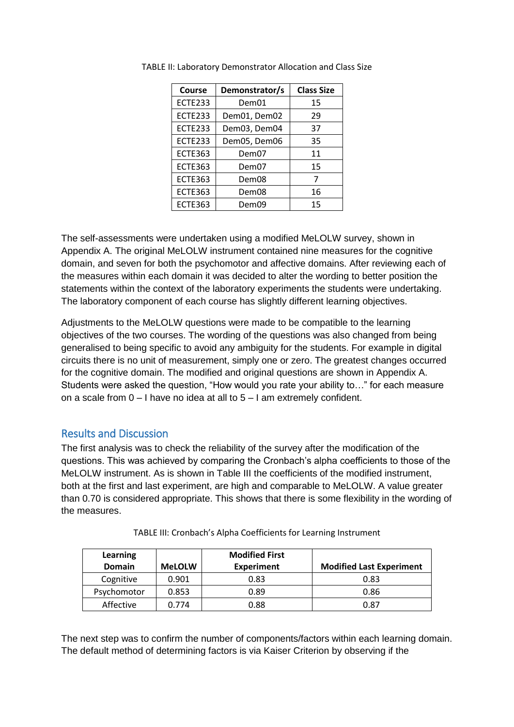| <b>Course</b>  | Demonstrator/s |    |
|----------------|----------------|----|
| <b>ECTE233</b> | Dem01          | 15 |
| <b>ECTE233</b> | Dem01, Dem02   | 29 |
| <b>ECTE233</b> | Dem03, Dem04   | 37 |
| <b>ECTE233</b> | Dem05, Dem06   | 35 |
| <b>ECTE363</b> | Dem07          | 11 |
| <b>ECTE363</b> | Dem07          | 15 |
| <b>ECTE363</b> | Dem08          |    |
| <b>ECTE363</b> | Dem08          | 16 |
| <b>ECTE363</b> | Dem09          | 15 |

TABLE II: Laboratory Demonstrator Allocation and Class Size

The self-assessments were undertaken using a modified MeLOLW survey, shown in Appendix A. The original MeLOLW instrument contained nine measures for the cognitive domain, and seven for both the psychomotor and affective domains. After reviewing each of the measures within each domain it was decided to alter the wording to better position the statements within the context of the laboratory experiments the students were undertaking. The laboratory component of each course has slightly different learning objectives.

Adjustments to the MeLOLW questions were made to be compatible to the learning objectives of the two courses. The wording of the questions was also changed from being generalised to being specific to avoid any ambiguity for the students. For example in digital circuits there is no unit of measurement, simply one or zero. The greatest changes occurred for the cognitive domain. The modified and original questions are shown in Appendix A. Students were asked the question, "How would you rate your ability to…" for each measure on a scale from 0 – I have no idea at all to 5 – I am extremely confident.

#### Results and Discussion

The first analysis was to check the reliability of the survey after the modification of the questions. This was achieved by comparing the Cronbach's alpha coefficients to those of the MeLOLW instrument. As is shown in Table III the coefficients of the modified instrument, both at the first and last experiment, are high and comparable to MeLOLW. A value greater than 0.70 is considered appropriate. This shows that there is some flexibility in the wording of the measures.

| Learning<br><b>Domain</b> | <b>MeLOLW</b> | <b>Modified First</b><br><b>Experiment</b> | <b>Modified Last Experiment</b> |
|---------------------------|---------------|--------------------------------------------|---------------------------------|
| Cognitive                 | 0.901         | 0.83                                       | 0.83                            |
| Psychomotor               | 0.853         | 0.89                                       | 0.86                            |
| Affective                 | 0.774         | 0.88                                       | 0.87                            |

TABLE III: Cronbach's Alpha Coefficients for Learning Instrument

The next step was to confirm the number of components/factors within each learning domain. The default method of determining factors is via Kaiser Criterion by observing if the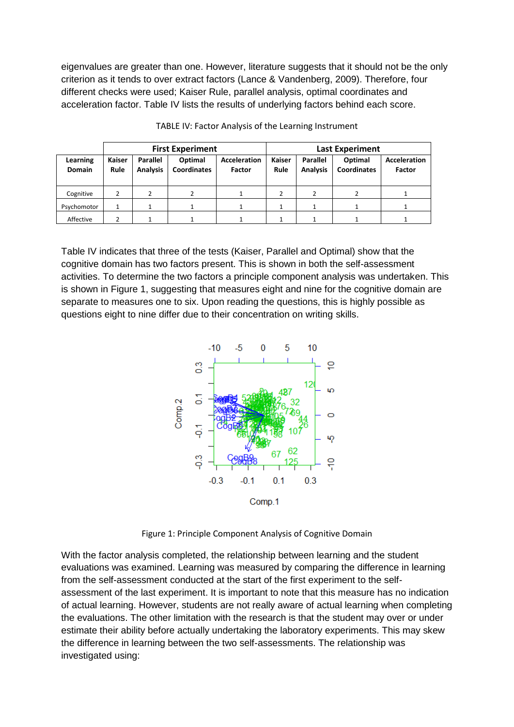eigenvalues are greater than one. However, literature suggests that it should not be the only criterion as it tends to over extract factors (Lance & Vandenberg, 2009). Therefore, four different checks were used; Kaiser Rule, parallel analysis, optimal coordinates and acceleration factor. Table IV lists the results of underlying factors behind each score.

|                           | <b>First Experiment</b> |                                    |                               |                               | <b>Last Experiment</b> |                                    |                               |                               |
|---------------------------|-------------------------|------------------------------------|-------------------------------|-------------------------------|------------------------|------------------------------------|-------------------------------|-------------------------------|
| Learning<br><b>Domain</b> | Kaiser<br>Rule          | <b>Parallel</b><br><b>Analysis</b> | Optimal<br><b>Coordinates</b> | <b>Acceleration</b><br>Factor | <b>Kaiser</b><br>Rule  | <b>Parallel</b><br><b>Analysis</b> | Optimal<br><b>Coordinates</b> | <b>Acceleration</b><br>Factor |
| Cognitive                 | 2                       |                                    | 2                             |                               |                        |                                    |                               |                               |
| Psychomotor               |                         |                                    |                               |                               |                        |                                    |                               |                               |
| Affective                 |                         |                                    |                               |                               |                        |                                    |                               |                               |

TABLE IV: Factor Analysis of the Learning Instrument

Table IV indicates that three of the tests (Kaiser, Parallel and Optimal) show that the cognitive domain has two factors present. This is shown in both the self-assessment activities. To determine the two factors a principle component analysis was undertaken. This is shown in Figure 1, suggesting that measures eight and nine for the cognitive domain are separate to measures one to six. Upon reading the questions, this is highly possible as questions eight to nine differ due to their concentration on writing skills.



Figure 1: Principle Component Analysis of Cognitive Domain

With the factor analysis completed, the relationship between learning and the student evaluations was examined. Learning was measured by comparing the difference in learning from the self-assessment conducted at the start of the first experiment to the selfassessment of the last experiment. It is important to note that this measure has no indication of actual learning. However, students are not really aware of actual learning when completing the evaluations. The other limitation with the research is that the student may over or under estimate their ability before actually undertaking the laboratory experiments. This may skew the difference in learning between the two self-assessments. The relationship was investigated using: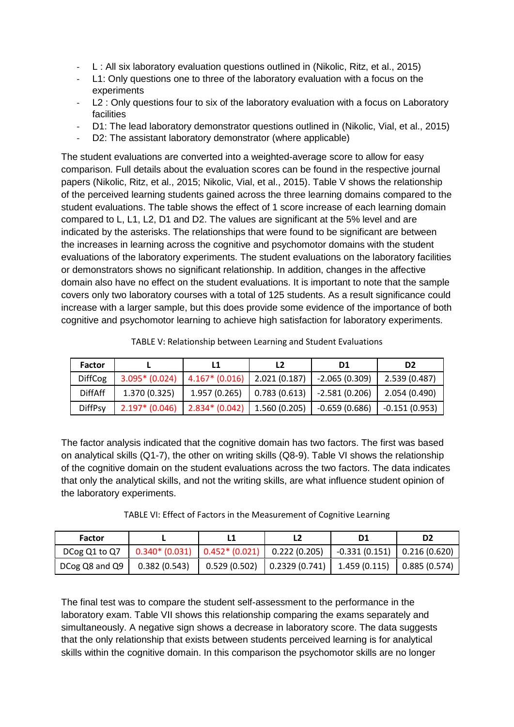- L : All six laboratory evaluation questions outlined in (Nikolic, Ritz, et al., 2015)
- L1: Only questions one to three of the laboratory evaluation with a focus on the experiments
- L2 : Only questions four to six of the laboratory evaluation with a focus on Laboratory facilities
- D1: The lead laboratory demonstrator questions outlined in (Nikolic, Vial, et al., 2015)
- D2: The assistant laboratory demonstrator (where applicable)

The student evaluations are converted into a weighted-average score to allow for easy comparison. Full details about the evaluation scores can be found in the respective journal papers (Nikolic, Ritz, et al., 2015; Nikolic, Vial, et al., 2015). Table V shows the relationship of the perceived learning students gained across the three learning domains compared to the student evaluations. The table shows the effect of 1 score increase of each learning domain compared to L, L1, L2, D1 and D2. The values are significant at the 5% level and are indicated by the asterisks. The relationships that were found to be significant are between the increases in learning across the cognitive and psychomotor domains with the student evaluations of the laboratory experiments. The student evaluations on the laboratory facilities or demonstrators shows no significant relationship. In addition, changes in the affective domain also have no effect on the student evaluations. It is important to note that the sample covers only two laboratory courses with a total of 125 students. As a result significance could increase with a larger sample, but this does provide some evidence of the importance of both cognitive and psychomotor learning to achieve high satisfaction for laboratory experiments.

| Factor         |                  |                                       | L2           | D1              | D2              |
|----------------|------------------|---------------------------------------|--------------|-----------------|-----------------|
| <b>DiffCog</b> | $3.095* (0.024)$ | $\mid$ 4.167* (0.016)   2.021 (0.187) |              | $-2.065(0.309)$ | 2.539 (0.487)   |
| <b>DiffAff</b> | 1.370 (0.325)    | 1.957 (0.265)                         | 0.783(0.613) | $-2.581(0.206)$ | 2.054 (0.490)   |
| <b>DiffPsy</b> | $2.197* (0.046)$ | $2.834*(0.042)$                       | 1.560(0.205) | $-0.659(0.686)$ | $-0.151(0.953)$ |

TABLE V: Relationship between Learning and Student Evaluations

The factor analysis indicated that the cognitive domain has two factors. The first was based on analytical skills (Q1-7), the other on writing skills (Q8-9). Table VI shows the relationship of the cognitive domain on the student evaluations across the two factors. The data indicates that only the analytical skills, and not the writing skills, are what influence student opinion of the laboratory experiments.

TABLE VI: Effect of Factors in the Measurement of Cognitive Learning

| Factor         |              | L1                                              |               |                               |              |
|----------------|--------------|-------------------------------------------------|---------------|-------------------------------|--------------|
| DCog Q1 to Q7  |              | $0.340* (0.031)$ $0.452* (0.021)$ 0.222 (0.205) |               | $-0.331(0.151)$ 0.216 (0.620) |              |
| DCog Q8 and Q9 | 0.382(0.543) | 0.529(0.502)                                    | 0.2329(0.741) | 1.459 (0.115)                 | 0.885(0.574) |

The final test was to compare the student self-assessment to the performance in the laboratory exam. Table VII shows this relationship comparing the exams separately and simultaneously. A negative sign shows a decrease in laboratory score. The data suggests that the only relationship that exists between students perceived learning is for analytical skills within the cognitive domain. In this comparison the psychomotor skills are no longer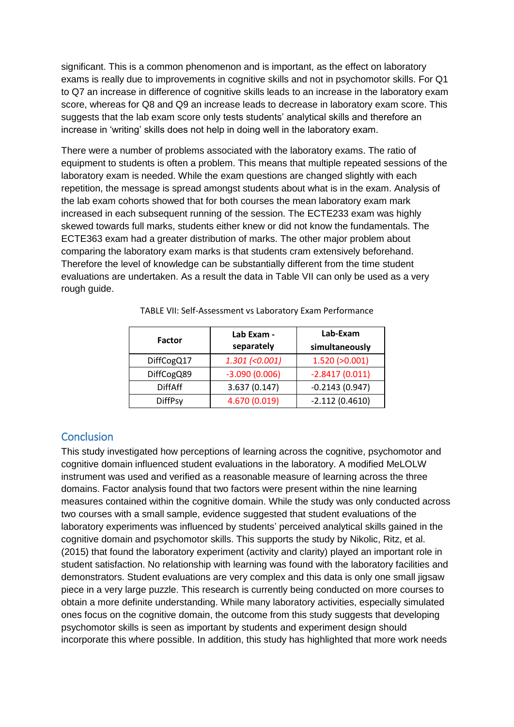significant. This is a common phenomenon and is important, as the effect on laboratory exams is really due to improvements in cognitive skills and not in psychomotor skills. For Q1 to Q7 an increase in difference of cognitive skills leads to an increase in the laboratory exam score, whereas for Q8 and Q9 an increase leads to decrease in laboratory exam score. This suggests that the lab exam score only tests students' analytical skills and therefore an increase in 'writing' skills does not help in doing well in the laboratory exam.

There were a number of problems associated with the laboratory exams. The ratio of equipment to students is often a problem. This means that multiple repeated sessions of the laboratory exam is needed. While the exam questions are changed slightly with each repetition, the message is spread amongst students about what is in the exam. Analysis of the lab exam cohorts showed that for both courses the mean laboratory exam mark increased in each subsequent running of the session. The ECTE233 exam was highly skewed towards full marks, students either knew or did not know the fundamentals. The ECTE363 exam had a greater distribution of marks. The other major problem about comparing the laboratory exam marks is that students cram extensively beforehand. Therefore the level of knowledge can be substantially different from the time student evaluations are undertaken. As a result the data in Table VII can only be used as a very rough guide.

| <b>Factor</b>  | Lab Exam -<br>separately | Lab-Exam<br>simultaneously |
|----------------|--------------------------|----------------------------|
| DiffCogQ17     | $1.301 (-0.001)$         | 1.520(>0.001)              |
| DiffCogQ89     | $-3.090(0.006)$          | $-2.8417(0.011)$           |
| <b>DiffAff</b> | 3.637(0.147)             | $-0.2143(0.947)$           |
| <b>DiffPsy</b> | 4.670 (0.019)            | $-2.112(0.4610)$           |

|  |  | TABLE VII: Self-Assessment vs Laboratory Exam Performance |  |  |  |
|--|--|-----------------------------------------------------------|--|--|--|
|--|--|-----------------------------------------------------------|--|--|--|

#### **Conclusion**

This study investigated how perceptions of learning across the cognitive, psychomotor and cognitive domain influenced student evaluations in the laboratory. A modified MeLOLW instrument was used and verified as a reasonable measure of learning across the three domains. Factor analysis found that two factors were present within the nine learning measures contained within the cognitive domain. While the study was only conducted across two courses with a small sample, evidence suggested that student evaluations of the laboratory experiments was influenced by students' perceived analytical skills gained in the cognitive domain and psychomotor skills. This supports the study by Nikolic, Ritz, et al. (2015) that found the laboratory experiment (activity and clarity) played an important role in student satisfaction. No relationship with learning was found with the laboratory facilities and demonstrators. Student evaluations are very complex and this data is only one small jigsaw piece in a very large puzzle. This research is currently being conducted on more courses to obtain a more definite understanding. While many laboratory activities, especially simulated ones focus on the cognitive domain, the outcome from this study suggests that developing psychomotor skills is seen as important by students and experiment design should incorporate this where possible. In addition, this study has highlighted that more work needs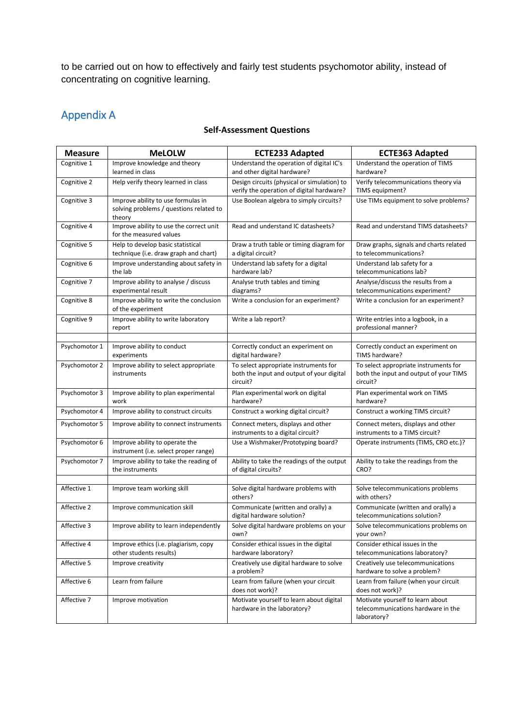to be carried out on how to effectively and fairly test students psychomotor ability, instead of concentrating on cognitive learning.

## Appendix A

#### **Self-Assessment Questions**

| <b>Measure</b> | <b>MeLOLW</b>                                                                           | <b>ECTE233 Adapted</b>                                                                         | <b>ECTE363 Adapted</b>                                                                      |
|----------------|-----------------------------------------------------------------------------------------|------------------------------------------------------------------------------------------------|---------------------------------------------------------------------------------------------|
| Cognitive 1    | Improve knowledge and theory<br>learned in class                                        | Understand the operation of digital IC's<br>and other digital hardware?                        | Understand the operation of TIMS<br>hardware?                                               |
| Cognitive 2    | Help verify theory learned in class                                                     | Design circuits (physical or simulation) to<br>verify the operation of digital hardware?       | Verify telecommunications theory via<br>TIMS equipment?                                     |
| Cognitive 3    | Improve ability to use formulas in<br>solving problems / questions related to<br>theory | Use Boolean algebra to simply circuits?                                                        | Use TIMs equipment to solve problems?                                                       |
| Cognitive 4    | Improve ability to use the correct unit<br>for the measured values                      | Read and understand IC datasheets?                                                             | Read and understand TIMS datasheets?                                                        |
| Cognitive 5    | Help to develop basic statistical<br>technique (i.e. draw graph and chart)              | Draw a truth table or timing diagram for<br>a digital circuit?                                 | Draw graphs, signals and charts related<br>to telecommunications?                           |
| Cognitive 6    | Improve understanding about safety in<br>the lab                                        | Understand lab safety for a digital<br>hardware lab?                                           | Understand lab safety for a<br>telecommunications lab?                                      |
| Cognitive 7    | Improve ability to analyse / discuss<br>experimental result                             | Analyse truth tables and timing<br>diagrams?                                                   | Analyse/discuss the results from a<br>telecommunications experiment?                        |
| Cognitive 8    | Improve ability to write the conclusion<br>of the experiment                            | Write a conclusion for an experiment?                                                          | Write a conclusion for an experiment?                                                       |
| Cognitive 9    | Improve ability to write laboratory<br>report                                           | Write a lab report?                                                                            | Write entries into a logbook, in a<br>professional manner?                                  |
| Psychomotor 1  | Improve ability to conduct                                                              | Correctly conduct an experiment on                                                             | Correctly conduct an experiment on                                                          |
|                | experiments                                                                             | digital hardware?                                                                              | TIMS hardware?                                                                              |
| Psychomotor 2  | Improve ability to select appropriate<br>instruments                                    | To select appropriate instruments for<br>both the input and output of your digital<br>circuit? | To select appropriate instruments for<br>both the input and output of your TIMS<br>circuit? |
| Psychomotor 3  | Improve ability to plan experimental<br>work                                            | Plan experimental work on digital<br>hardware?                                                 | Plan experimental work on TIMS<br>hardware?                                                 |
| Psychomotor 4  | Improve ability to construct circuits                                                   | Construct a working digital circuit?                                                           | Construct a working TIMS circuit?                                                           |
| Psychomotor 5  | Improve ability to connect instruments                                                  | Connect meters, displays and other<br>instruments to a digital circuit?                        | Connect meters, displays and other<br>instruments to a TIMS circuit?                        |
| Psychomotor 6  | Improve ability to operate the<br>instrument (i.e. select proper range)                 | Use a Wishmaker/Prototyping board?                                                             | Operate instruments (TIMS, CRO etc.)?                                                       |
| Psychomotor 7  | Improve ability to take the reading of<br>the instruments                               | Ability to take the readings of the output<br>of digital circuits?                             | Ability to take the readings from the<br>CRO?                                               |
| Affective 1    | Improve team working skill                                                              | Solve digital hardware problems with                                                           | Solve telecommunications problems                                                           |
|                |                                                                                         | others?                                                                                        | with others?                                                                                |
| Affective 2    | Improve communication skill                                                             | Communicate (written and orally) a<br>digital hardware solution?                               | Communicate (written and orally) a<br>telecommunications solution?                          |
| Affective 3    | Improve ability to learn independently                                                  | Solve digital hardware problems on your<br>own?                                                | Solve telecommunications problems on<br>your own?                                           |
| Affective 4    | Improve ethics (i.e. plagiarism, copy<br>other students results)                        | Consider ethical issues in the digital<br>hardware laboratory?                                 | Consider ethical issues in the<br>telecommunications laboratory?                            |
| Affective 5    | Improve creativity                                                                      | Creatively use digital hardware to solve<br>a problem?                                         | Creatively use telecommunications<br>hardware to solve a problem?                           |
| Affective 6    | Learn from failure                                                                      | Learn from failure (when your circuit<br>does not work)?                                       | Learn from failure (when your circuit<br>does not work)?                                    |
| Affective 7    | Improve motivation                                                                      | Motivate yourself to learn about digital<br>hardware in the laboratory?                        | Motivate yourself to learn about<br>telecommunications hardware in the<br>laboratory?       |